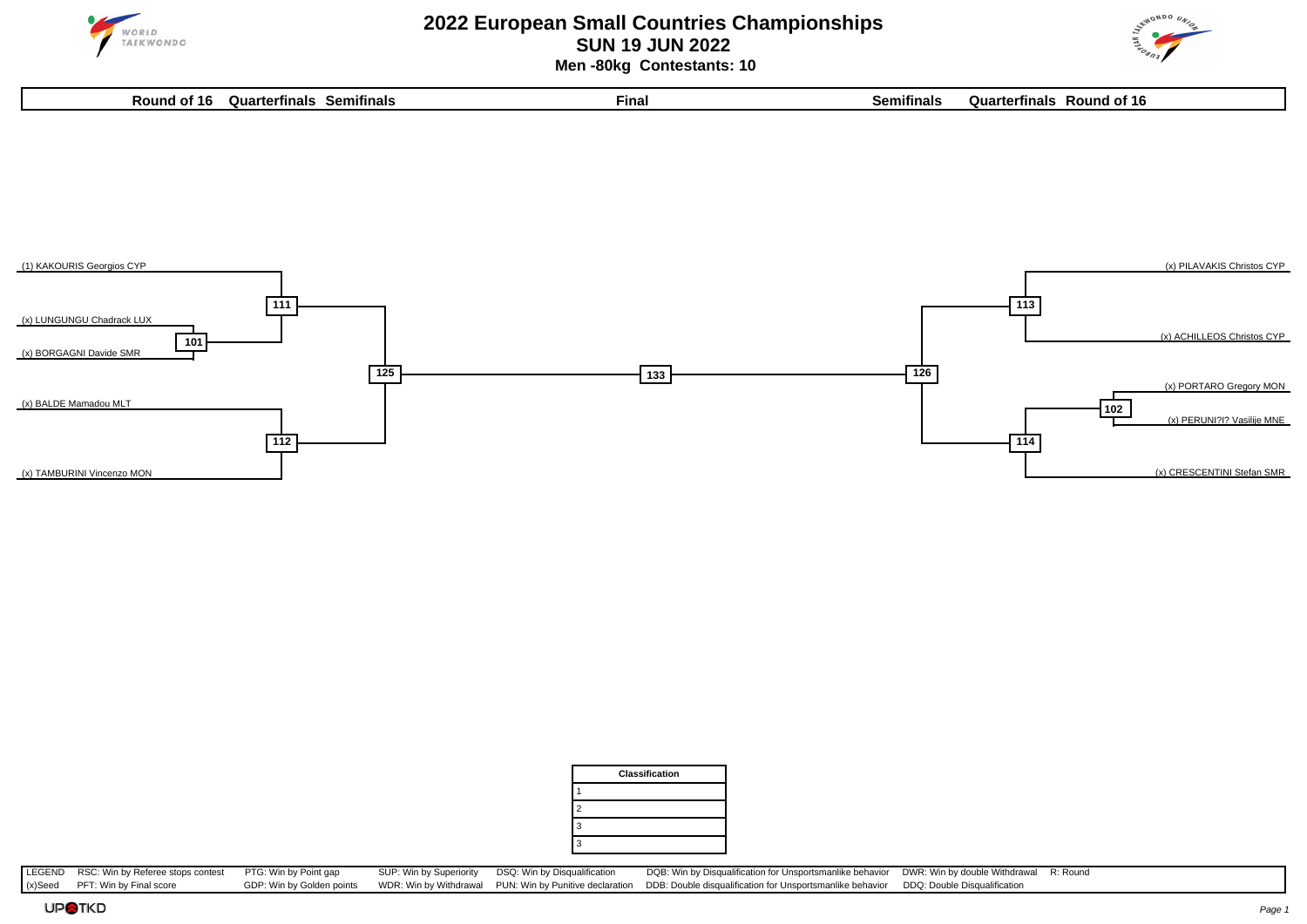

### **2022 European Small Countries Championships SUN 19 JUN 2022 Men -80kg Contestants: 10**







|                | <b>Classification</b> |
|----------------|-----------------------|
|                |                       |
| $\overline{2}$ |                       |
| 3              |                       |
| 3              |                       |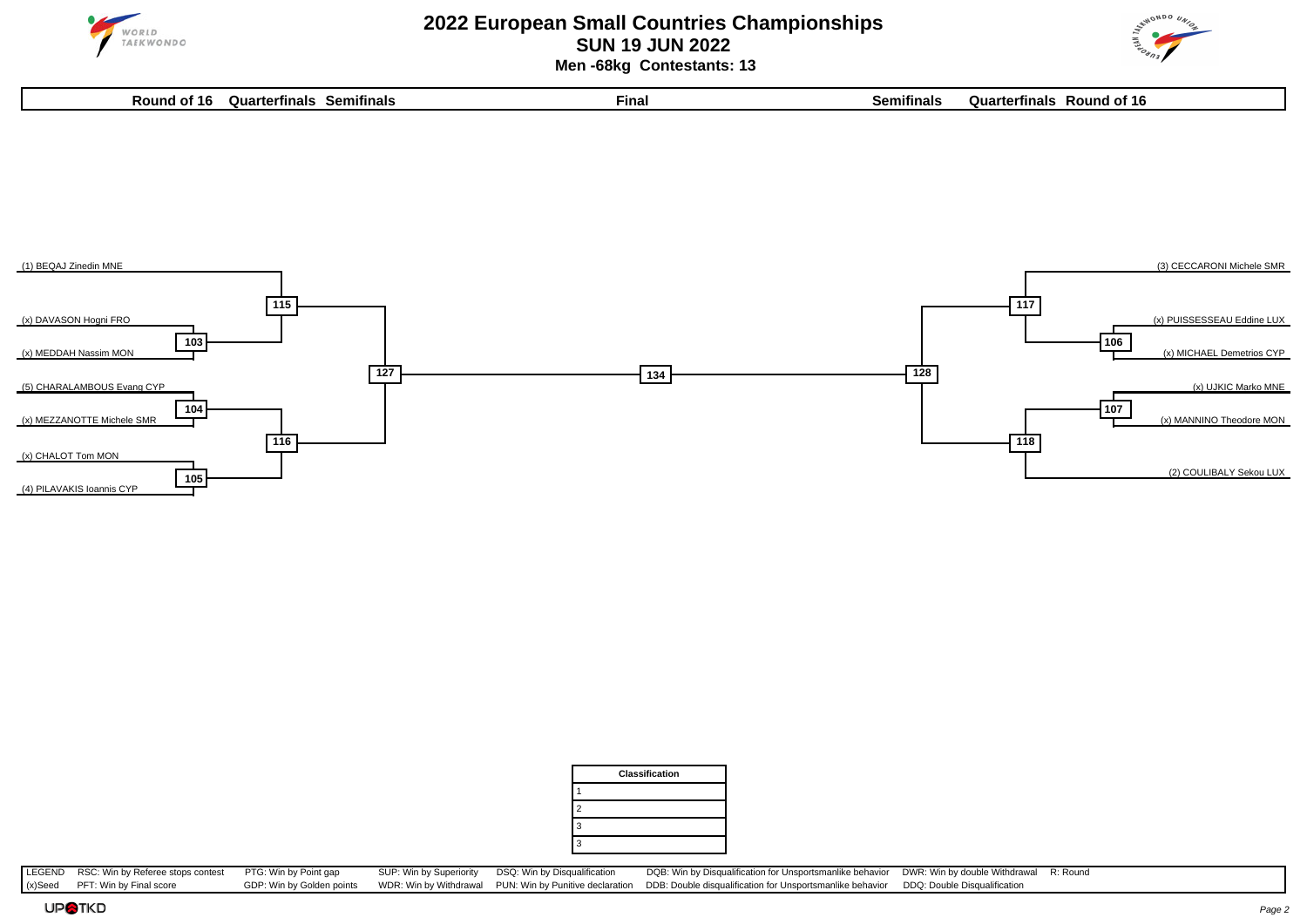

### **2022 European Small Countries Championships SUN 19 JUN 2022 Men -68kg Contestants: 13**

**Round of 16 Quarterfinals Semifinals Final Semifinals Quarterfinals Round of 16**









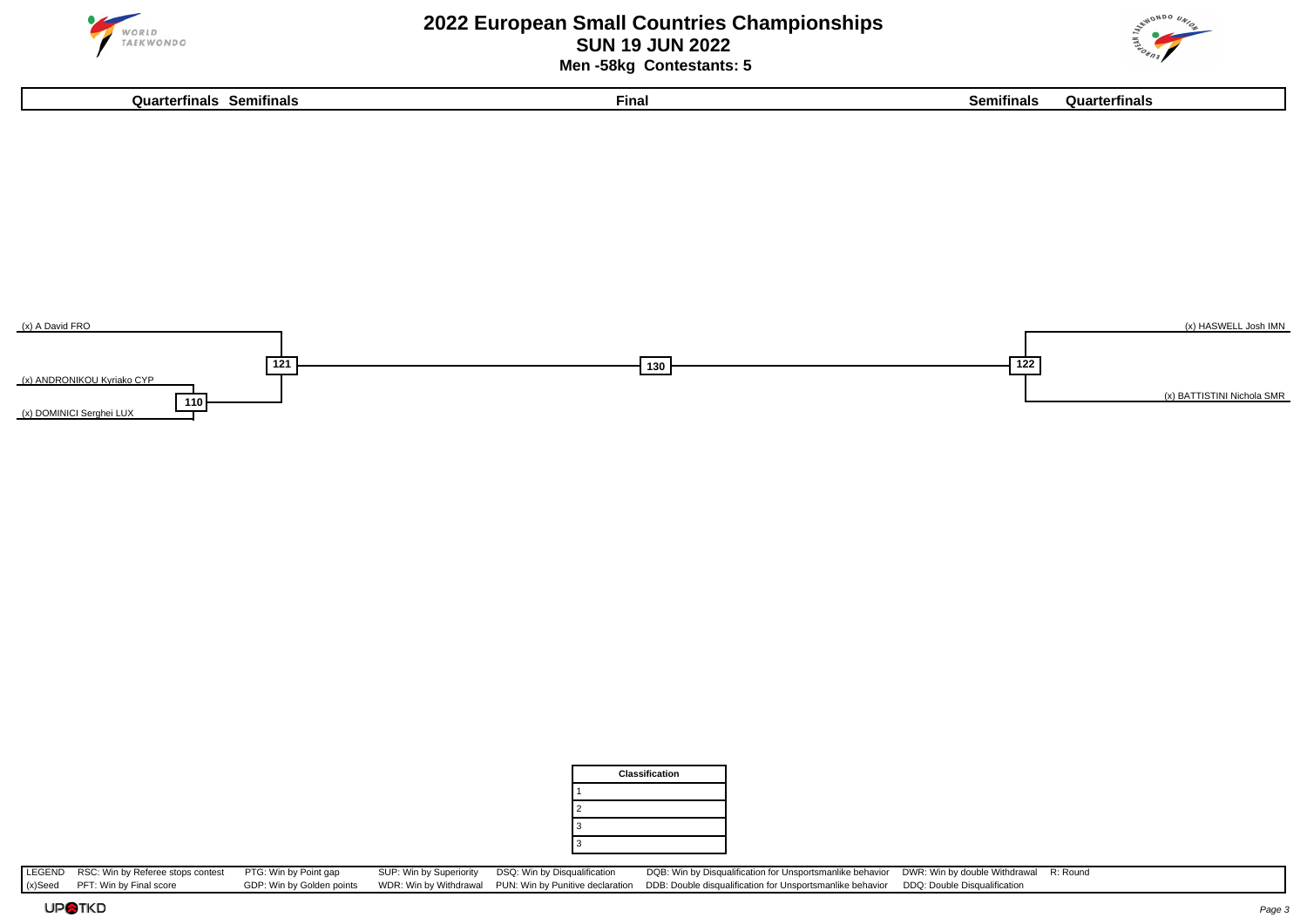

### **2022 European Small Countries Championships SUN 19 JUN 2022 Men -58kg Contestants: 5**





|                | <b>Classification</b> |
|----------------|-----------------------|
|                |                       |
| $\overline{2}$ |                       |
| 3              |                       |
| 3              |                       |
|                |                       |

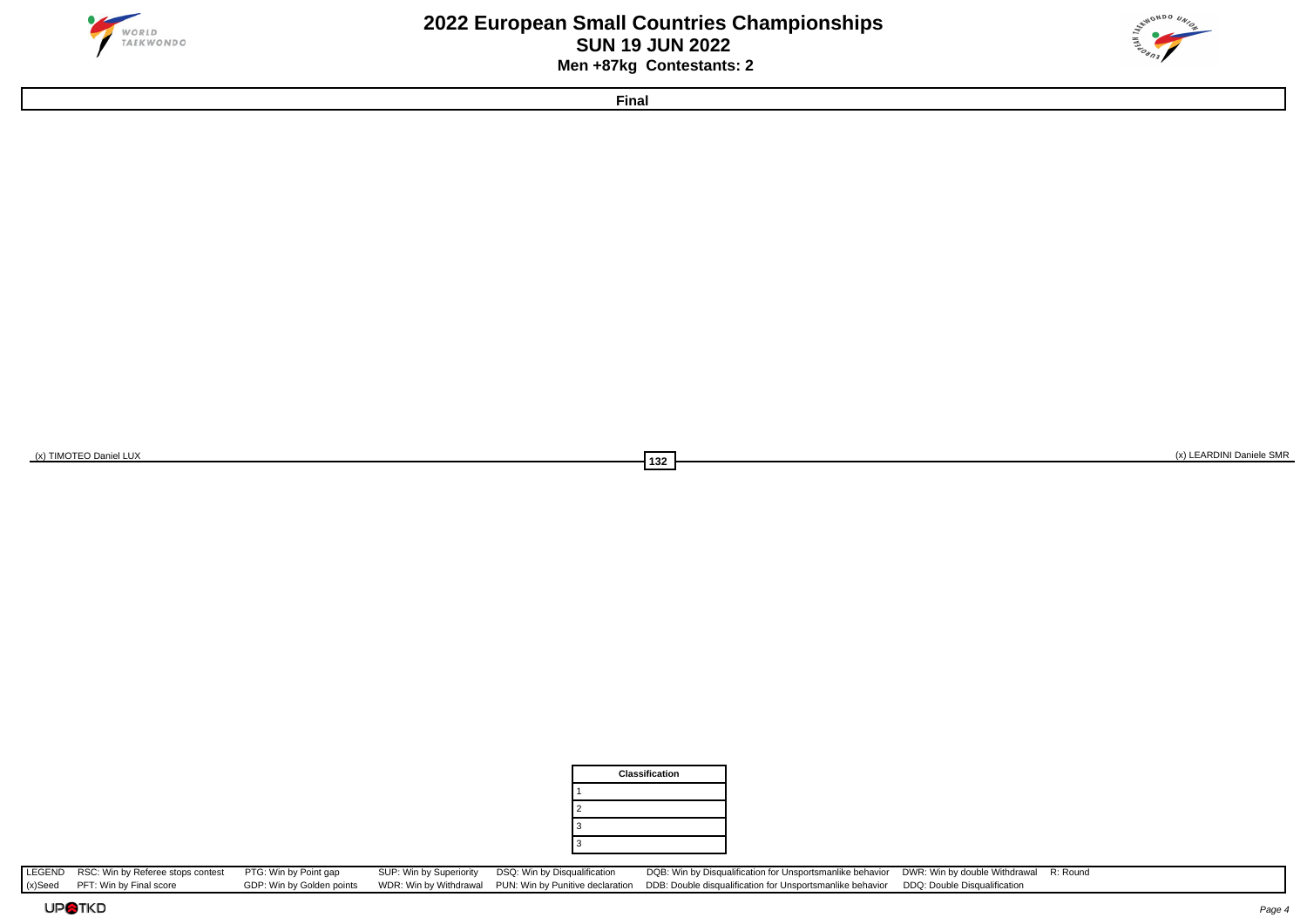



**Final**

(x) TIMOTEO Daniel LUX (x) LEARDINI Daniele SMR (x) LEARDINI Daniele SMR (x) LEARDINI Daniele SMR (x) LEARDINI Daniele SMR

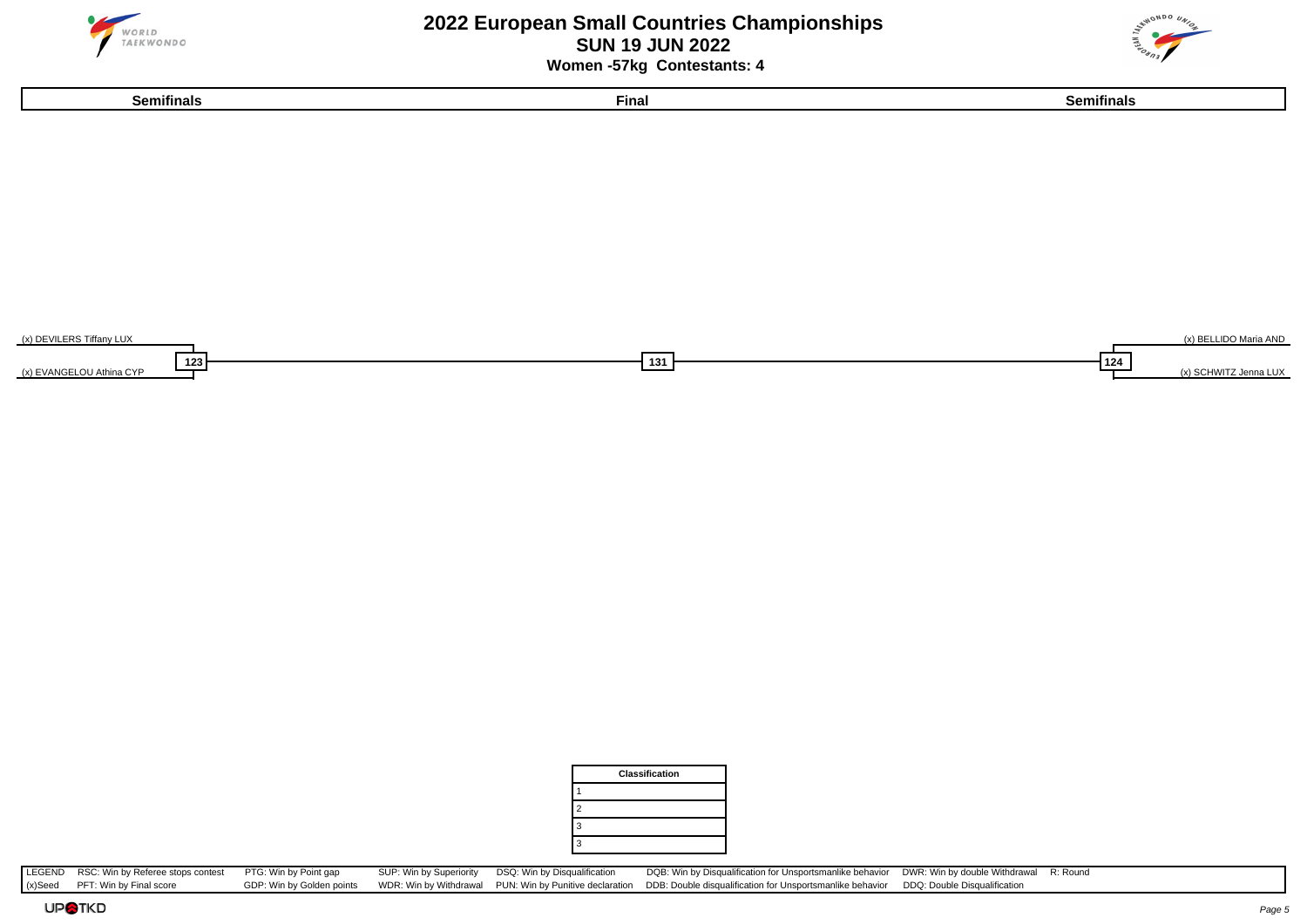

## **2022 European Small Countries Championships SUN 19 JUN 2022 Women -57kg Contestants: 4**